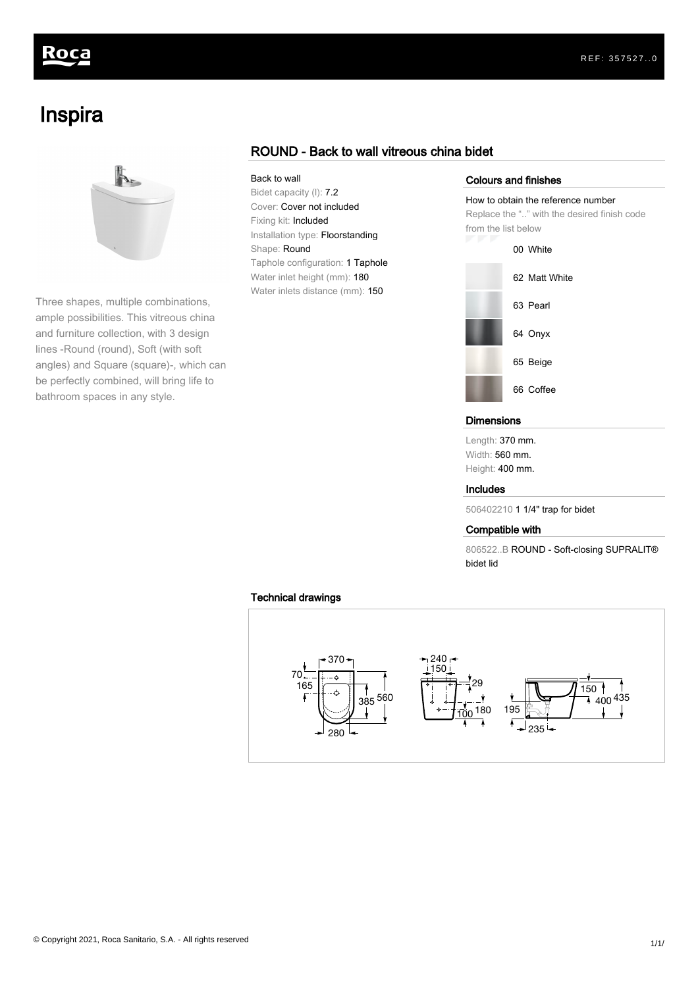# koca

# Inspira



Three shapes, multiple combinations, ample possibilities. This vitreous china and furniture collection, with 3 design lines -Round (round), Soft (with soft angles) and Square (square)-, which can be perfectly combined, will bring life to bathroom spaces in any style.

## ROUND - Back to wall vitreous china bidet

### Back to wall

Bidet capacity (l): 7.2 Cover: Cover not included Fixing kit: Included Installation type: Floorstanding Shape: Round Taphole configuration: 1 Taphole Water inlet height (mm): 180 Water inlets distance (mm): 150

#### Colours and finishes

#### How to obtain the reference number

Replace the ".." with the desired finish code from the list below



#### **Dimensions**

Length: 370 mm. Width: 560 mm. Height: 400 mm.

#### Includes

506402210 1 1/4" trap for bidet

#### Compatible with

806522..B ROUND - Soft-closing SUPRALIT® bidet lid

### Technical drawings